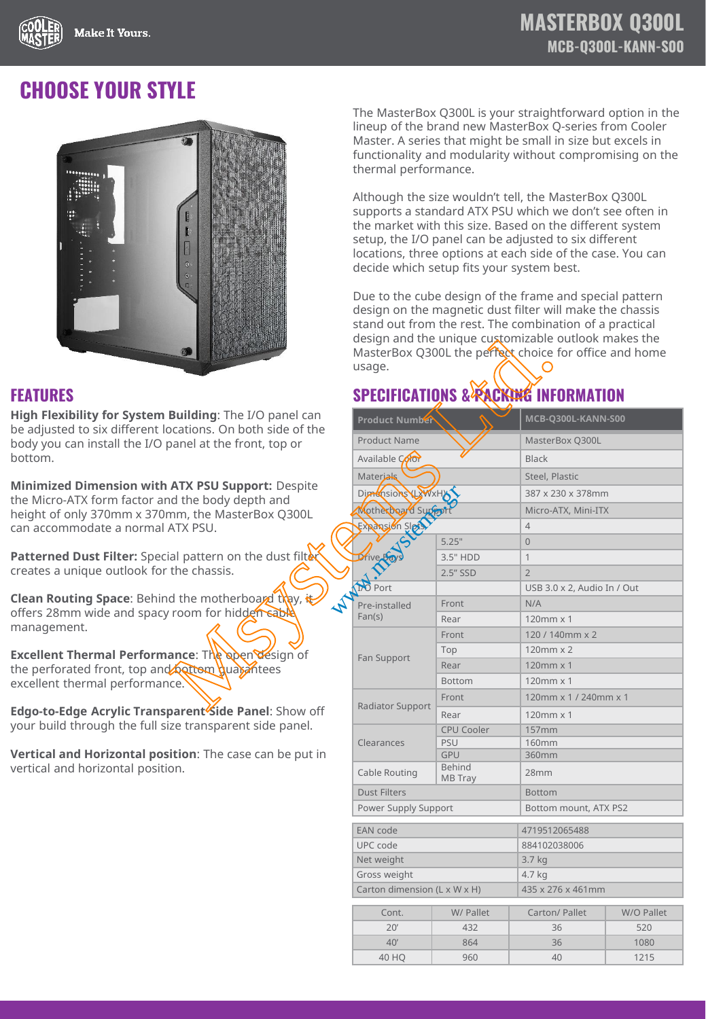

## **CHOOSE YOUR STYLE**



**High Flexibility for System Building**: The I/O panel can be adjusted to six different locations. On both side of the body you can install the I/O panel at the front, top or bottom.

**Minimized Dimension with ATX PSU Support:** Despite the Micro-ATX form factor and the body depth and height of only 370mm x 370mm, the MasterBox Q300L can accommodate a normal ATX PSU.

Patterned Dust Filter: Special pattern on the dust filt creates a unique outlook for the chassis.

**Clean Routing Space:** Behind the motherboard thay, the offers 28mm wide and spacy room for hidden sable management.

**Excellent Thermal Performance: The open design of** the perforated front, top and bottom guarantees excellent thermal performance.

**Edgo-to-Edge Acrylic Transparent Side Panel**: Show off your build through the full size transparent side panel.

**Vertical and Horizontal position**: The case can be put in vertical and horizontal position.

The MasterBox Q300L is your straightforward option in the lineup of the brand new MasterBox Q-series from Cooler Master. A series that might be small in size but excels in functionality and modularity without compromising on the thermal performance.

Although the size wouldn't tell, the MasterBox Q300L supports a standard ATX PSU which we don't see often in the market with this size. Based on the different system setup, the I/O panel can be adjusted to six different locations, three options at each side of the case. You can decide which setup fits your system best.

Due to the cube design of the frame and special pattern design on the magnetic dust filter will make the chassis stand out from the rest. The combination of a practical design and the unique customizable outlook makes the MasterBox Q300L the perfect choice for office and home usage.

## **FEATURES SPECIFICATIONS & PACKING INFORMATION**

| O)                                                                                                                                              | design and the unique customizable outlook makes the<br>MasterBox Q300L the perfect choice for office and home<br>usage. |                                                 |                             |            |  |
|-------------------------------------------------------------------------------------------------------------------------------------------------|--------------------------------------------------------------------------------------------------------------------------|-------------------------------------------------|-----------------------------|------------|--|
|                                                                                                                                                 |                                                                                                                          | <b>SPECIFICATIONS &amp; PACKING INFORMATION</b> |                             |            |  |
| <b>Building:</b> The I/O panel can<br>ocations. On both side of the<br>panel at the front, top or                                               | <b>Product Number</b>                                                                                                    |                                                 | MCB-Q300L-KANN-S00          |            |  |
|                                                                                                                                                 | <b>Product Name</b>                                                                                                      |                                                 | MasterBox Q300L             |            |  |
|                                                                                                                                                 | Available Color                                                                                                          |                                                 | <b>Black</b>                |            |  |
|                                                                                                                                                 | Materials                                                                                                                |                                                 | Steel, Plastic              |            |  |
| <b>ATX PSU Support: Despite</b><br>d the body depth and                                                                                         | Dimensions NXWxHX                                                                                                        |                                                 | 387 x 230 x 378mm           |            |  |
| nm, the MasterBox Q300L                                                                                                                         | Motherboard Support                                                                                                      |                                                 | Micro-ATX, Mini-ITX         |            |  |
| ATX PSU.                                                                                                                                        | Expansion Sipts                                                                                                          |                                                 | $\overline{4}$              |            |  |
|                                                                                                                                                 |                                                                                                                          | 5.25"                                           | $\overline{0}$              |            |  |
| ial pattern on the dust filt $\stackrel{\centerdot}{\bm{\mathsf{ex}}}$<br>the chassis.                                                          | Drive <sub>Ra</sub>                                                                                                      | 3.5" HDD                                        | $\mathbf{1}$                |            |  |
|                                                                                                                                                 |                                                                                                                          | 2.5" SSD                                        | $\overline{2}$              |            |  |
|                                                                                                                                                 | <b>DO</b> Port                                                                                                           |                                                 | USB 3.0 x 2, Audio In / Out |            |  |
| d the motherboard thay, t<br>$\overline{\mathbf{r}}$<br>room for hidden sable<br>ance: The open design of<br><b>Applican quarantees</b><br>ice. | Pre-installed<br>Fan(s)                                                                                                  | Front                                           | N/A                         |            |  |
|                                                                                                                                                 |                                                                                                                          | Rear                                            | 120mm x 1                   |            |  |
|                                                                                                                                                 | Fan Support                                                                                                              | Front                                           | 120 / 140mm x 2             |            |  |
|                                                                                                                                                 |                                                                                                                          | Top                                             | 120mm x 2                   |            |  |
|                                                                                                                                                 |                                                                                                                          | Rear                                            | 120mm x 1                   |            |  |
|                                                                                                                                                 |                                                                                                                          | <b>Bottom</b>                                   | 120mm x 1                   |            |  |
| p <b>arent<sup>i</sup>Side Panel</b> : Show off<br>ize transparent side panel.                                                                  | <b>Radiator Support</b>                                                                                                  | Front                                           | 120mm x 1 / 240mm x 1       |            |  |
|                                                                                                                                                 |                                                                                                                          | Rear                                            | 120mm x 1                   |            |  |
|                                                                                                                                                 | Clearances                                                                                                               | <b>CPU Cooler</b>                               | 157mm                       |            |  |
|                                                                                                                                                 |                                                                                                                          | PSU                                             | <b>160mm</b>                |            |  |
| ition: The case can be put in<br>on.                                                                                                            | Cable Routing                                                                                                            | <b>GPU</b><br><b>Behind</b>                     | 360mm<br>28mm               |            |  |
|                                                                                                                                                 | <b>MB</b> Tray<br><b>Dust Filters</b>                                                                                    |                                                 | <b>Bottom</b>               |            |  |
|                                                                                                                                                 | Power Supply Support                                                                                                     |                                                 | Bottom mount, ATX PS2       |            |  |
|                                                                                                                                                 | <b>EAN</b> code                                                                                                          |                                                 | 4719512065488               |            |  |
|                                                                                                                                                 | UPC code                                                                                                                 |                                                 | 884102038006                |            |  |
|                                                                                                                                                 | Net weight                                                                                                               |                                                 | 3.7 kg                      |            |  |
|                                                                                                                                                 | Gross weight                                                                                                             |                                                 | 4.7 kg                      |            |  |
|                                                                                                                                                 | Carton dimension (L x W x H)                                                                                             |                                                 | 435 x 276 x 461mm           |            |  |
|                                                                                                                                                 | Cont.                                                                                                                    | W/ Pallet                                       | Carton/ Pallet              | W/O Pallet |  |
|                                                                                                                                                 | 20'                                                                                                                      | 432                                             | 36                          | 520        |  |
|                                                                                                                                                 | 40'                                                                                                                      | 864                                             | 36                          | 1080       |  |
|                                                                                                                                                 | 40 HQ                                                                                                                    | 960                                             | 40                          | 1215       |  |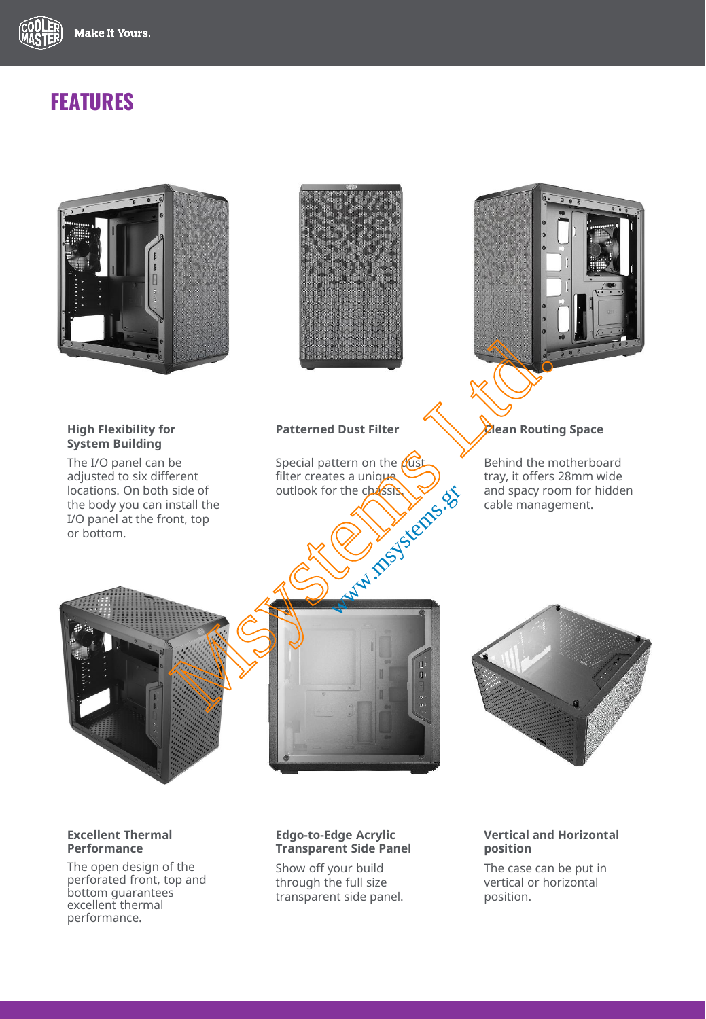

# **FEATURES**



#### **Excellent Thermal Performance**

The open design of the perforated front, top and bottom guarantees excellent thermal performance.

### **Edgo-to-Edge Acrylic Transparent Side Panel**

Show off your build through the full size transparent side panel.

#### **Vertical and Horizontal position**

The case can be put in vertical or horizontal position.